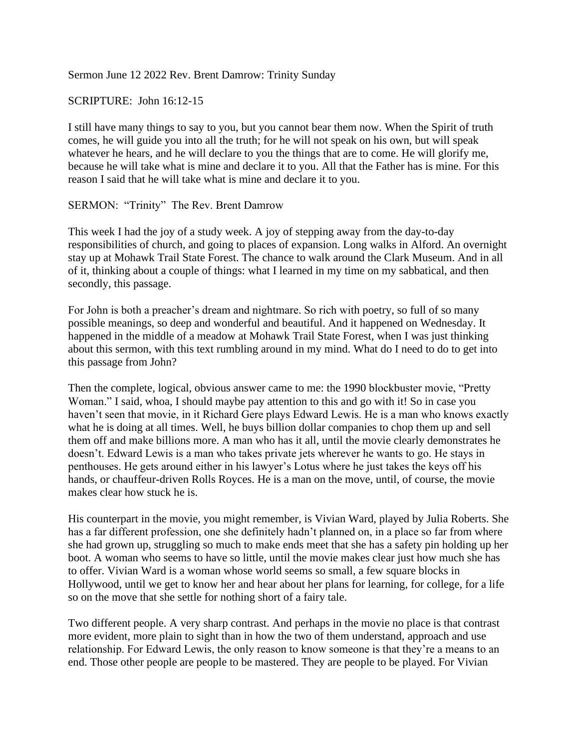Sermon June 12 2022 Rev. Brent Damrow: Trinity Sunday

SCRIPTURE: John 16:12-15

I still have many things to say to you, but you cannot bear them now. When the Spirit of truth comes, he will guide you into all the truth; for he will not speak on his own, but will speak whatever he hears, and he will declare to you the things that are to come. He will glorify me, because he will take what is mine and declare it to you. All that the Father has is mine. For this reason I said that he will take what is mine and declare it to you.

SERMON: "Trinity" The Rev. Brent Damrow

This week I had the joy of a study week. A joy of stepping away from the day-to-day responsibilities of church, and going to places of expansion. Long walks in Alford. An overnight stay up at Mohawk Trail State Forest. The chance to walk around the Clark Museum. And in all of it, thinking about a couple of things: what I learned in my time on my sabbatical, and then secondly, this passage.

For John is both a preacher's dream and nightmare. So rich with poetry, so full of so many possible meanings, so deep and wonderful and beautiful. And it happened on Wednesday. It happened in the middle of a meadow at Mohawk Trail State Forest, when I was just thinking about this sermon, with this text rumbling around in my mind. What do I need to do to get into this passage from John?

Then the complete, logical, obvious answer came to me: the 1990 blockbuster movie, "Pretty Woman." I said, whoa, I should maybe pay attention to this and go with it! So in case you haven't seen that movie, in it Richard Gere plays Edward Lewis. He is a man who knows exactly what he is doing at all times. Well, he buys billion dollar companies to chop them up and sell them off and make billions more. A man who has it all, until the movie clearly demonstrates he doesn't. Edward Lewis is a man who takes private jets wherever he wants to go. He stays in penthouses. He gets around either in his lawyer's Lotus where he just takes the keys off his hands, or chauffeur-driven Rolls Royces. He is a man on the move, until, of course, the movie makes clear how stuck he is.

His counterpart in the movie, you might remember, is Vivian Ward, played by Julia Roberts. She has a far different profession, one she definitely hadn't planned on, in a place so far from where she had grown up, struggling so much to make ends meet that she has a safety pin holding up her boot. A woman who seems to have so little, until the movie makes clear just how much she has to offer. Vivian Ward is a woman whose world seems so small, a few square blocks in Hollywood, until we get to know her and hear about her plans for learning, for college, for a life so on the move that she settle for nothing short of a fairy tale.

Two different people. A very sharp contrast. And perhaps in the movie no place is that contrast more evident, more plain to sight than in how the two of them understand, approach and use relationship. For Edward Lewis, the only reason to know someone is that they're a means to an end. Those other people are people to be mastered. They are people to be played. For Vivian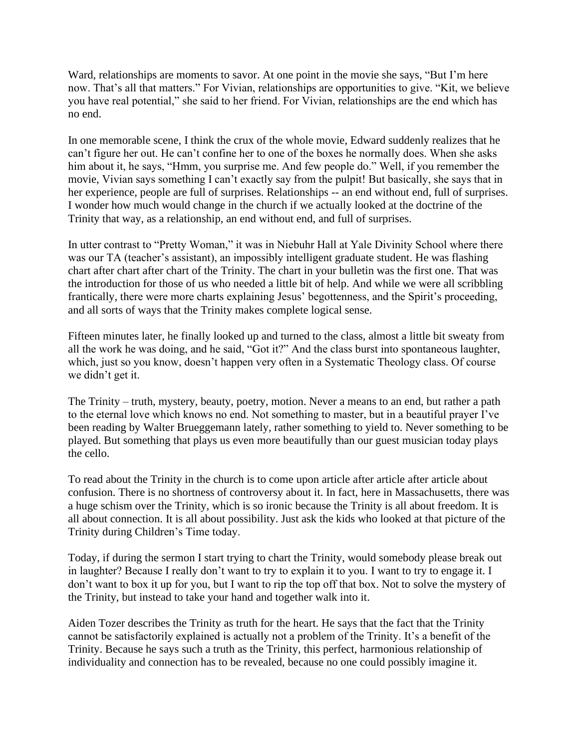Ward, relationships are moments to savor. At one point in the movie she says, "But I'm here now. That's all that matters." For Vivian, relationships are opportunities to give. "Kit, we believe you have real potential," she said to her friend. For Vivian, relationships are the end which has no end.

In one memorable scene, I think the crux of the whole movie, Edward suddenly realizes that he can't figure her out. He can't confine her to one of the boxes he normally does. When she asks him about it, he says, "Hmm, you surprise me. And few people do." Well, if you remember the movie, Vivian says something I can't exactly say from the pulpit! But basically, she says that in her experience, people are full of surprises. Relationships -- an end without end, full of surprises. I wonder how much would change in the church if we actually looked at the doctrine of the Trinity that way, as a relationship, an end without end, and full of surprises.

In utter contrast to "Pretty Woman," it was in Niebuhr Hall at Yale Divinity School where there was our TA (teacher's assistant), an impossibly intelligent graduate student. He was flashing chart after chart after chart of the Trinity. The chart in your bulletin was the first one. That was the introduction for those of us who needed a little bit of help. And while we were all scribbling frantically, there were more charts explaining Jesus' begottenness, and the Spirit's proceeding, and all sorts of ways that the Trinity makes complete logical sense.

Fifteen minutes later, he finally looked up and turned to the class, almost a little bit sweaty from all the work he was doing, and he said, "Got it?" And the class burst into spontaneous laughter, which, just so you know, doesn't happen very often in a Systematic Theology class. Of course we didn't get it.

The Trinity – truth, mystery, beauty, poetry, motion. Never a means to an end, but rather a path to the eternal love which knows no end. Not something to master, but in a beautiful prayer I've been reading by Walter Brueggemann lately, rather something to yield to. Never something to be played. But something that plays us even more beautifully than our guest musician today plays the cello.

To read about the Trinity in the church is to come upon article after article after article about confusion. There is no shortness of controversy about it. In fact, here in Massachusetts, there was a huge schism over the Trinity, which is so ironic because the Trinity is all about freedom. It is all about connection. It is all about possibility. Just ask the kids who looked at that picture of the Trinity during Children's Time today.

Today, if during the sermon I start trying to chart the Trinity, would somebody please break out in laughter? Because I really don't want to try to explain it to you. I want to try to engage it. I don't want to box it up for you, but I want to rip the top off that box. Not to solve the mystery of the Trinity, but instead to take your hand and together walk into it.

Aiden Tozer describes the Trinity as truth for the heart. He says that the fact that the Trinity cannot be satisfactorily explained is actually not a problem of the Trinity. It's a benefit of the Trinity. Because he says such a truth as the Trinity, this perfect, harmonious relationship of individuality and connection has to be revealed, because no one could possibly imagine it.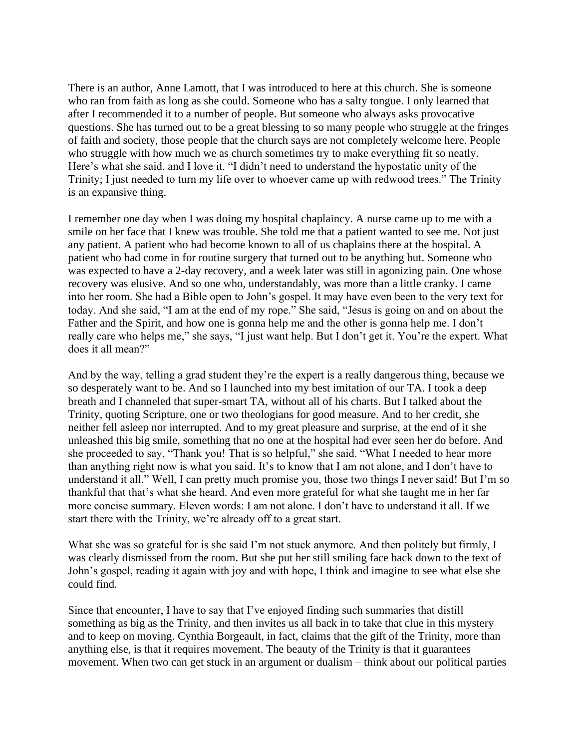There is an author, Anne Lamott, that I was introduced to here at this church. She is someone who ran from faith as long as she could. Someone who has a salty tongue. I only learned that after I recommended it to a number of people. But someone who always asks provocative questions. She has turned out to be a great blessing to so many people who struggle at the fringes of faith and society, those people that the church says are not completely welcome here. People who struggle with how much we as church sometimes try to make everything fit so neatly. Here's what she said, and I love it. "I didn't need to understand the hypostatic unity of the Trinity; I just needed to turn my life over to whoever came up with redwood trees." The Trinity is an expansive thing.

I remember one day when I was doing my hospital chaplaincy. A nurse came up to me with a smile on her face that I knew was trouble. She told me that a patient wanted to see me. Not just any patient. A patient who had become known to all of us chaplains there at the hospital. A patient who had come in for routine surgery that turned out to be anything but. Someone who was expected to have a 2-day recovery, and a week later was still in agonizing pain. One whose recovery was elusive. And so one who, understandably, was more than a little cranky. I came into her room. She had a Bible open to John's gospel. It may have even been to the very text for today. And she said, "I am at the end of my rope." She said, "Jesus is going on and on about the Father and the Spirit, and how one is gonna help me and the other is gonna help me. I don't really care who helps me," she says, "I just want help. But I don't get it. You're the expert. What does it all mean?"

And by the way, telling a grad student they're the expert is a really dangerous thing, because we so desperately want to be. And so I launched into my best imitation of our TA. I took a deep breath and I channeled that super-smart TA, without all of his charts. But I talked about the Trinity, quoting Scripture, one or two theologians for good measure. And to her credit, she neither fell asleep nor interrupted. And to my great pleasure and surprise, at the end of it she unleashed this big smile, something that no one at the hospital had ever seen her do before. And she proceeded to say, "Thank you! That is so helpful," she said. "What I needed to hear more than anything right now is what you said. It's to know that I am not alone, and I don't have to understand it all." Well, I can pretty much promise you, those two things I never said! But I'm so thankful that that's what she heard. And even more grateful for what she taught me in her far more concise summary. Eleven words: I am not alone. I don't have to understand it all. If we start there with the Trinity, we're already off to a great start.

What she was so grateful for is she said I'm not stuck anymore. And then politely but firmly, I was clearly dismissed from the room. But she put her still smiling face back down to the text of John's gospel, reading it again with joy and with hope, I think and imagine to see what else she could find.

Since that encounter, I have to say that I've enjoyed finding such summaries that distill something as big as the Trinity, and then invites us all back in to take that clue in this mystery and to keep on moving. Cynthia Borgeault, in fact, claims that the gift of the Trinity, more than anything else, is that it requires movement. The beauty of the Trinity is that it guarantees movement. When two can get stuck in an argument or dualism – think about our political parties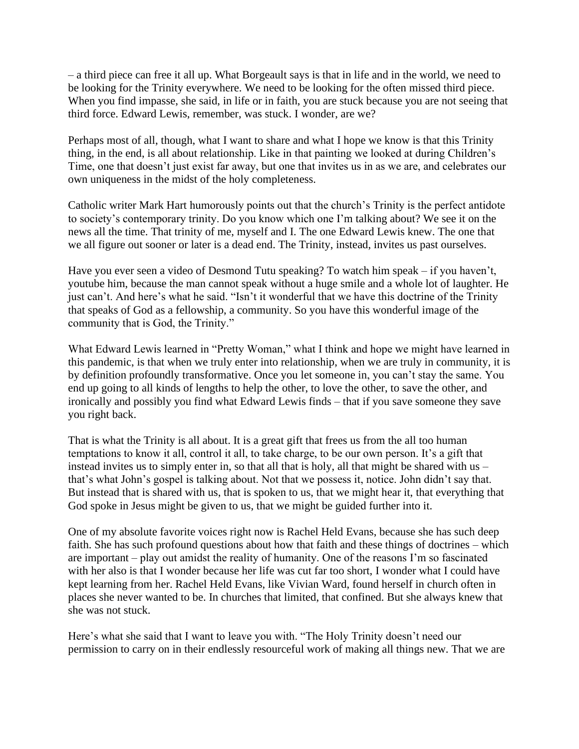– a third piece can free it all up. What Borgeault says is that in life and in the world, we need to be looking for the Trinity everywhere. We need to be looking for the often missed third piece. When you find impasse, she said, in life or in faith, you are stuck because you are not seeing that third force. Edward Lewis, remember, was stuck. I wonder, are we?

Perhaps most of all, though, what I want to share and what I hope we know is that this Trinity thing, in the end, is all about relationship. Like in that painting we looked at during Children's Time, one that doesn't just exist far away, but one that invites us in as we are, and celebrates our own uniqueness in the midst of the holy completeness.

Catholic writer Mark Hart humorously points out that the church's Trinity is the perfect antidote to society's contemporary trinity. Do you know which one I'm talking about? We see it on the news all the time. That trinity of me, myself and I. The one Edward Lewis knew. The one that we all figure out sooner or later is a dead end. The Trinity, instead, invites us past ourselves.

Have you ever seen a video of Desmond Tutu speaking? To watch him speak – if you haven't, youtube him, because the man cannot speak without a huge smile and a whole lot of laughter. He just can't. And here's what he said. "Isn't it wonderful that we have this doctrine of the Trinity that speaks of God as a fellowship, a community. So you have this wonderful image of the community that is God, the Trinity."

What Edward Lewis learned in "Pretty Woman," what I think and hope we might have learned in this pandemic, is that when we truly enter into relationship, when we are truly in community, it is by definition profoundly transformative. Once you let someone in, you can't stay the same. You end up going to all kinds of lengths to help the other, to love the other, to save the other, and ironically and possibly you find what Edward Lewis finds – that if you save someone they save you right back.

That is what the Trinity is all about. It is a great gift that frees us from the all too human temptations to know it all, control it all, to take charge, to be our own person. It's a gift that instead invites us to simply enter in, so that all that is holy, all that might be shared with us – that's what John's gospel is talking about. Not that we possess it, notice. John didn't say that. But instead that is shared with us, that is spoken to us, that we might hear it, that everything that God spoke in Jesus might be given to us, that we might be guided further into it.

One of my absolute favorite voices right now is Rachel Held Evans, because she has such deep faith. She has such profound questions about how that faith and these things of doctrines – which are important – play out amidst the reality of humanity. One of the reasons I'm so fascinated with her also is that I wonder because her life was cut far too short, I wonder what I could have kept learning from her. Rachel Held Evans, like Vivian Ward, found herself in church often in places she never wanted to be. In churches that limited, that confined. But she always knew that she was not stuck.

Here's what she said that I want to leave you with. "The Holy Trinity doesn't need our permission to carry on in their endlessly resourceful work of making all things new. That we are